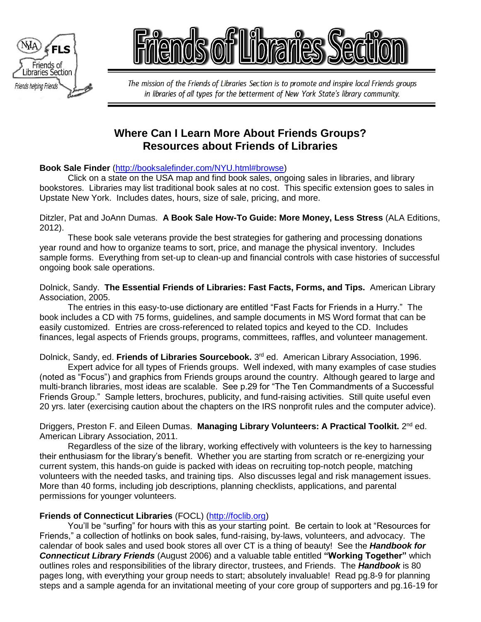



The mission of the Friends of Libraries Section is to promote and inspire local Friends groups in libraries of all types for the betterment of New York State's library community.

# **Where Can I Learn More About Friends Groups? Resources about Friends of Libraries**

# **Book Sale Finder** [\(http://booksalefinder.com/NYU.html#browse\)](http://booksalefinder.com/NYU.html#browse)

Click on a state on the USA map and find book sales, ongoing sales in libraries, and library bookstores. Libraries may list traditional book sales at no cost. This specific extension goes to sales in Upstate New York. Includes dates, hours, size of sale, pricing, and more.

Ditzler, Pat and JoAnn Dumas. **A Book Sale How-To Guide: More Money, Less Stress** (ALA Editions, 2012).

These book sale veterans provide the best strategies for gathering and processing donations year round and how to organize teams to sort, price, and manage the physical inventory. Includes sample forms. Everything from set-up to clean-up and financial controls with case histories of successful ongoing book sale operations.

Dolnick, Sandy. **The Essential Friends of Libraries: Fast Facts, Forms, and Tips.** American Library Association, 2005.

The entries in this easy-to-use dictionary are entitled "Fast Facts for Friends in a Hurry." The book includes a CD with 75 forms, guidelines, and sample documents in MS Word format that can be easily customized. Entries are cross-referenced to related topics and keyed to the CD. Includes finances, legal aspects of Friends groups, programs, committees, raffles, and volunteer management.

Dolnick, Sandy, ed. Friends of Libraries Sourcebook. 3<sup>rd</sup> ed. American Library Association, 1996.

Expert advice for all types of Friends groups. Well indexed, with many examples of case studies (noted as "Focus") and graphics from Friends groups around the country. Although geared to large and multi-branch libraries, most ideas are scalable. See p.29 for "The Ten Commandments of a Successful Friends Group." Sample letters, brochures, publicity, and fund-raising activities. Still quite useful even 20 yrs. later (exercising caution about the chapters on the IRS nonprofit rules and the computer advice).

Driggers, Preston F. and Eileen Dumas. Managing Library Volunteers: A Practical Toolkit. 2<sup>nd</sup> ed. American Library Association, 2011.

Regardless of the size of the library, working effectively with volunteers is the key to harnessing their enthusiasm for the library's benefit. Whether you are starting from scratch or re-energizing your current system, this hands-on guide is packed with ideas on recruiting top-notch people, matching volunteers with the needed tasks, and training tips. Also discusses legal and risk management issues. More than 40 forms, including job descriptions, planning checklists, applications, and parental permissions for younger volunteers.

## **Friends of Connecticut Libraries** (FOCL) [\(http://foclib.org\)](http://foclib.org/)

You'll be "surfing" for hours with this as your starting point. Be certain to look at "Resources for Friends," a collection of hotlinks on book sales, fund-raising, by-laws, volunteers, and advocacy. The calendar of book sales and used book stores all over CT is a thing of beauty! See the *Handbook for Connecticut Library Friends* (August 2006) and a valuable table entitled **"Working Together"** which outlines roles and responsibilities of the library director, trustees, and Friends. The *Handbook* is 80 pages long, with everything your group needs to start; absolutely invaluable! Read pg.8-9 for planning steps and a sample agenda for an invitational meeting of your core group of supporters and pg.16-19 for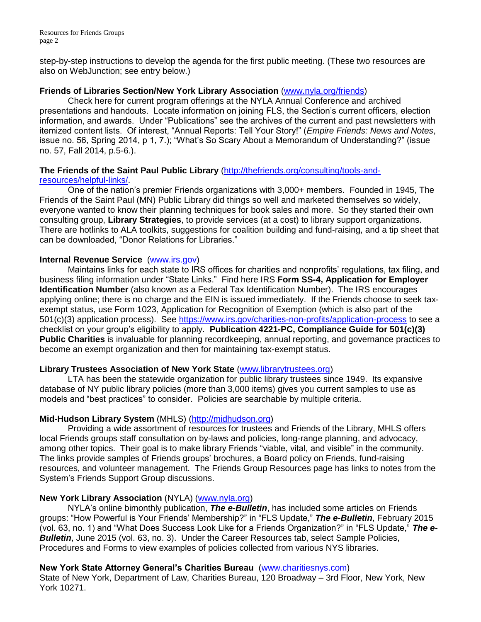step-by-step instructions to develop the agenda for the first public meeting. (These two resources are also on WebJunction; see entry below.)

## **Friends of Libraries Section/New York Library Association** [\(www.nyla.org/friends\)](http://www.nyla.org/friends)

Check here for current program offerings at the NYLA Annual Conference and archived presentations and handouts. Locate information on joining FLS, the Section's current officers, election information, and awards. Under "Publications" see the archives of the current and past newsletters with itemized content lists. Of interest, "Annual Reports: Tell Your Story!" (*Empire Friends: News and Notes*, issue no. 56, Spring 2014, p 1, 7.); "What's So Scary About a Memorandum of Understanding?" (issue no. 57, Fall 2014, p.5-6.).

## **The Friends of the Saint Paul Public Library** [\(http://thefriends.org/consulting/tools-and](http://thefriends.org/consulting/tools-and-resources/helpful-links/)[resources/helpful-links/.](http://thefriends.org/consulting/tools-and-resources/helpful-links/)

One of the nation's premier Friends organizations with 3,000+ members. Founded in 1945, The Friends of the Saint Paul (MN) Public Library did things so well and marketed themselves so widely, everyone wanted to know their planning techniques for book sales and more. So they started their own consulting group, **Library Strategies**, to provide services (at a cost) to library support organizations. There are hotlinks to ALA toolkits, suggestions for coalition building and fund-raising, and a tip sheet that can be downloaded, "Donor Relations for Libraries."

## **Internal Revenue Service** [\(www.irs.gov\)](http://www.irs.gov/)

Maintains links for each state to IRS offices for charities and nonprofits' regulations, tax filing, and business filing information under "State Links." Find here IRS **Form SS-4, Application for Employer Identification Number** (also known as a Federal Tax Identification Number). The IRS encourages applying online; there is no charge and the EIN is issued immediately. If the Friends choose to seek taxexempt status, use Form 1023, Application for Recognition of Exemption (which is also part of the 501(c)(3) application process). See<https://www.irs.gov/charities-non-profits/application-process> to see a checklist on your group's eligibility to apply. **Publication 4221-PC, Compliance Guide for 501(c)(3) Public Charities** is invaluable for planning recordkeeping, annual reporting, and governance practices to become an exempt organization and then for maintaining tax-exempt status.

## **Library Trustees Association of New York State** [\(www.librarytrustees.org\)](http://www.librarytrustees.org/)

LTA has been the statewide organization for public library trustees since 1949. Its expansive database of NY public library policies (more than 3,000 items) gives you current samples to use as models and "best practices" to consider. Policies are searchable by multiple criteria.

## **Mid-Hudson Library System** (MHLS) [\(http://midhudson.org\)](http://midhudson.org/)

Providing a wide assortment of resources for trustees and Friends of the Library, MHLS offers local Friends groups staff consultation on by-laws and policies, long-range planning, and advocacy, among other topics. Their goal is to make library Friends "viable, vital, and visible" in the community. The links provide samples of Friends groups' brochures, a Board policy on Friends, fund-raising resources, and volunteer management. The Friends Group Resources page has links to notes from the System's Friends Support Group discussions.

## **New York Library Association** (NYLA) [\(www.nyla.org\)](http://www.nyla.org/)

NYLA's online bimonthly publication, *The e-Bulletin*, has included some articles on Friends groups: "How Powerful is Your Friends' Membership?" in "FLS Update," *The e-Bulletin*, February 2015 (vol. 63, no. 1) and "What Does Success Look Like for a Friends Organization?" in "FLS Update," *The e-Bulletin*, June 2015 (vol. 63, no. 3). Under the Career Resources tab, select Sample Policies, Procedures and Forms to view examples of policies collected from various NYS libraries.

## **New York State Attorney General's Charities Bureau** [\(www.charitiesnys.com\)](http://www.charitiesnys.com/)

State of New York, Department of Law, Charities Bureau, 120 Broadway – 3rd Floor, New York, New York 10271.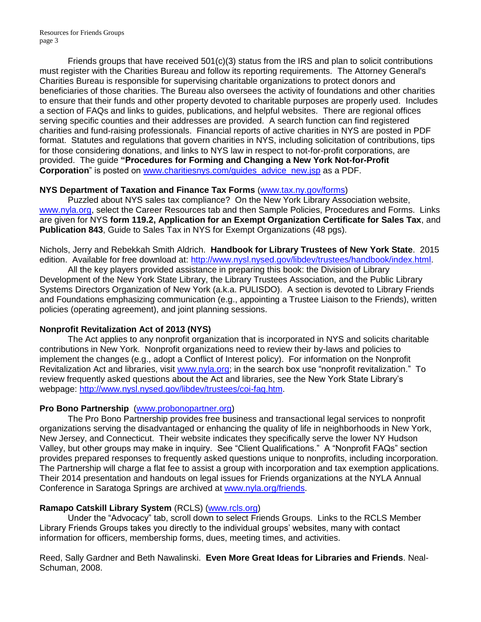Resources for Friends Groups page 3

Friends groups that have received  $501(c)(3)$  status from the IRS and plan to solicit contributions must register with the Charities Bureau and follow its reporting requirements. The Attorney General's Charities Bureau is responsible for supervising charitable organizations to protect donors and beneficiaries of those charities. The Bureau also oversees the activity of foundations and other charities to ensure that their funds and other property devoted to charitable purposes are properly used. Includes a section of FAQs and links to guides, publications, and helpful websites. There are regional offices serving specific counties and their addresses are provided. A search function can find registered charities and fund-raising professionals. Financial reports of active charities in NYS are posted in PDF format. Statutes and regulations that govern charities in NYS, including solicitation of contributions, tips for those considering donations, and links to NYS law in respect to not-for-profit corporations, are provided. The guide **"Procedures for Forming and Changing a New York Not-for-Profit Corporation**" is posted on [www.charitiesnys.com/guides\\_advice\\_new.jsp](http://www.charitiesnys.com/guides_advice_new.jsp) as a PDF.

#### **NYS Department of Taxation and Finance Tax Forms** [\(www.tax.ny.gov/forms\)](http://www.tax.ny.gov/forms)

Puzzled about NYS sales tax compliance?On the New York Library Association website, [www.nyla.org,](http://www.nyla.org/) select the Career Resources tab and then Sample Policies, Procedures and Forms. Links are given for NYS **form 119.2, Application for an Exempt Organization Certificate for Sales Tax**, and **Publication 843**, Guide to Sales Tax in NYS for Exempt Organizations (48 pgs).

Nichols, Jerry and Rebekkah Smith Aldrich. **Handbook for Library Trustees of New York State**. 2015 edition. Available for free download at: [http://www.nysl.nysed.gov/libdev/trustees/handbook/index.html.](http://www.nysl.nysed.gov/libdev/trustees/handbook/index.html)

All the key players provided assistance in preparing this book: the Division of Library Development of the New York State Library, the Library Trustees Association, and the Public Library Systems Directors Organization of New York (a.k.a. PULISDO). A section is devoted to Library Friends and Foundations emphasizing communication (e.g., appointing a Trustee Liaison to the Friends), written policies (operating agreement), and joint planning sessions.

#### **Nonprofit Revitalization Act of 2013 (NYS)**

The Act applies to any nonprofit organization that is incorporated in NYS and solicits charitable contributions in New York. Nonprofit organizations need to review their by-laws and policies to implement the changes (e.g., adopt a Conflict of Interest policy). For information on the Nonprofit Revitalization Act and libraries, visit [www.nyla.org;](http://www.nyla.org/) in the search box use "nonprofit revitalization." To review frequently asked questions about the Act and libraries, see the New York State Library's webpage: [http://www.nysl.nysed.gov/libdev/trustees/coi-faq.htm.](http://www.nysl.nysed.gov/libdev/trustees/coi-faq.htm)

#### **Pro Bono Partnership** [\(www.probonopartner.org\)](http://www.probonopartner.org/)

The Pro Bono Partnership provides free business and transactional legal services to nonprofit organizations serving the disadvantaged or enhancing the quality of life in neighborhoods in New York, New Jersey, and Connecticut. Their website indicates they specifically serve the lower NY Hudson Valley, but other groups may make in inquiry. See "Client Qualifications." A "Nonprofit FAQs" section provides prepared responses to frequently asked questions unique to nonprofits, including incorporation. The Partnership will charge a flat fee to assist a group with incorporation and tax exemption applications. Their 2014 presentation and handouts on legal issues for Friends organizations at the NYLA Annual Conference in Saratoga Springs are archived at [www.nyla.org/friends.](http://www.nyla.org/friends)

## **Ramapo Catskill Library System** (RCLS) [\(www.rcls.org\)](http://www.rcls.org/)

Under the "Advocacy" tab, scroll down to select Friends Groups. Links to the RCLS Member Library Friends Groups takes you directly to the individual groups' websites, many with contact information for officers, membership forms, dues, meeting times, and activities.

Reed, Sally Gardner and Beth Nawalinski. **Even More Great Ideas for Libraries and Friends**. Neal-Schuman, 2008.